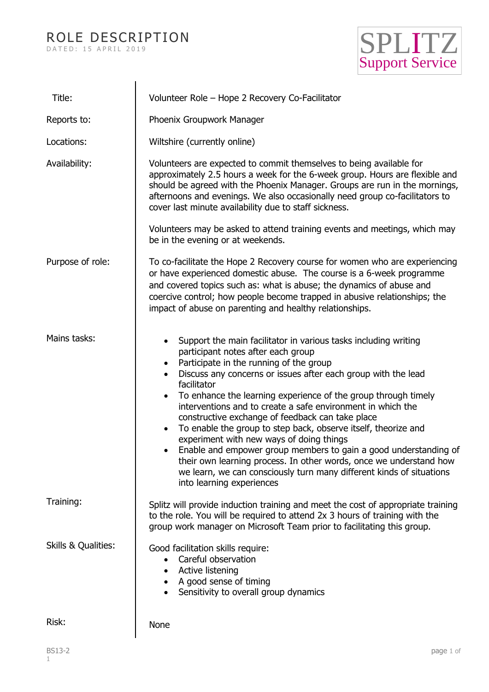## ROLE DESCRIPTION D A T E D : 15 A P R I L 2019



| Title:              | Volunteer Role - Hope 2 Recovery Co-Facilitator                                                                                                                                                                                                                                                                                                                                                                                                                                                                                                                                                                                                                                                                                                                                                                                                     |
|---------------------|-----------------------------------------------------------------------------------------------------------------------------------------------------------------------------------------------------------------------------------------------------------------------------------------------------------------------------------------------------------------------------------------------------------------------------------------------------------------------------------------------------------------------------------------------------------------------------------------------------------------------------------------------------------------------------------------------------------------------------------------------------------------------------------------------------------------------------------------------------|
| Reports to:         | Phoenix Groupwork Manager                                                                                                                                                                                                                                                                                                                                                                                                                                                                                                                                                                                                                                                                                                                                                                                                                           |
| Locations:          | Wiltshire (currently online)                                                                                                                                                                                                                                                                                                                                                                                                                                                                                                                                                                                                                                                                                                                                                                                                                        |
| Availability:       | Volunteers are expected to commit themselves to being available for<br>approximately 2.5 hours a week for the 6-week group. Hours are flexible and<br>should be agreed with the Phoenix Manager. Groups are run in the mornings,<br>afternoons and evenings. We also occasionally need group co-facilitators to<br>cover last minute availability due to staff sickness.                                                                                                                                                                                                                                                                                                                                                                                                                                                                            |
|                     | Volunteers may be asked to attend training events and meetings, which may<br>be in the evening or at weekends.                                                                                                                                                                                                                                                                                                                                                                                                                                                                                                                                                                                                                                                                                                                                      |
| Purpose of role:    | To co-facilitate the Hope 2 Recovery course for women who are experiencing<br>or have experienced domestic abuse. The course is a 6-week programme<br>and covered topics such as: what is abuse; the dynamics of abuse and<br>coercive control; how people become trapped in abusive relationships; the<br>impact of abuse on parenting and healthy relationships.                                                                                                                                                                                                                                                                                                                                                                                                                                                                                  |
| Mains tasks:        | Support the main facilitator in various tasks including writing<br>$\bullet$<br>participant notes after each group<br>Participate in the running of the group<br>$\bullet$<br>Discuss any concerns or issues after each group with the lead<br>$\bullet$<br>facilitator<br>To enhance the learning experience of the group through timely<br>$\bullet$<br>interventions and to create a safe environment in which the<br>constructive exchange of feedback can take place<br>To enable the group to step back, observe itself, theorize and<br>$\bullet$<br>experiment with new ways of doing things<br>Enable and empower group members to gain a good understanding of<br>their own learning process. In other words, once we understand how<br>we learn, we can consciously turn many different kinds of situations<br>into learning experiences |
| Training:           | Splitz will provide induction training and meet the cost of appropriate training<br>to the role. You will be required to attend 2x 3 hours of training with the<br>group work manager on Microsoft Team prior to facilitating this group.                                                                                                                                                                                                                                                                                                                                                                                                                                                                                                                                                                                                           |
| Skills & Qualities: | Good facilitation skills require:<br>Careful observation<br>$\bullet$<br>Active listening<br>A good sense of timing<br>Sensitivity to overall group dynamics                                                                                                                                                                                                                                                                                                                                                                                                                                                                                                                                                                                                                                                                                        |
| Risk:               | <b>None</b>                                                                                                                                                                                                                                                                                                                                                                                                                                                                                                                                                                                                                                                                                                                                                                                                                                         |